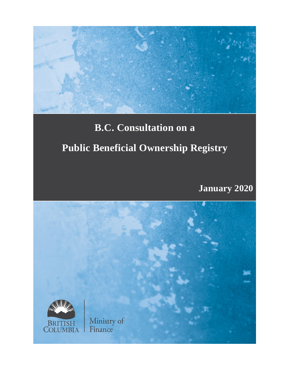

# **B.C. Consultation on a Public Beneficial Ownership Registry**

**January 2020**

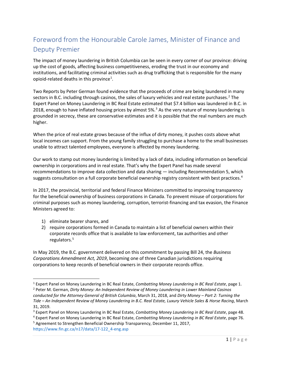# <span id="page-2-5"></span>Foreword from the Honourable Carole James, Minister of Finance and Deputy Premier

The impact of money laundering in British Columbia can be seen in every corner of our province: driving up the cost of goods, affecting business competitiveness, eroding the trust in our economy and institutions, and facilitating criminal activities such as drug trafficking that is responsible for the many opioid-related deaths in this province<sup>[1](#page-2-0)</sup>.

Two Reports by Peter German found evidence that the proceeds of crime are being laundered in many sectors in B.C. including through casinos, the sales of luxury vehicles and real estate purchases.<sup>[2](#page-2-1)</sup> The Expert Panel on Money Laundering in BC Real Estate estimated that \$7.4 billion was laundered in B.C. in 2018, enough to have inflated housing prices by almost 5%.<sup>[3](#page-2-2)</sup> As the very nature of money laundering is grounded in secrecy, these are conservative estimates and it is possible that the real numbers are much higher.

When the price of real estate grows because of the influx of dirty money, it pushes costs above what local incomes can support. From the young family struggling to purchase a home to the small businesses unable to attract talented employees, everyone is affected by money laundering.

Our work to stamp out money laundering is limited by a lack of data, including information on beneficial ownership in corporations and in real estate. That's why the Expert Panel has made several recommendations to improve data collection and data sharing — including Recommendation 5, which suggests consultation on a full corporate beneficial ownership registry consistent with best practices.<sup>[4](#page-2-3)</sup>

In 2017, the provincial, territorial and federal Finance Ministers committed to improving transparency for the beneficial ownership of business corporations in Canada. To prevent misuse of corporations for criminal purposes such as money laundering, corruption, terrorist-financing and tax evasion, the Finance Ministers agreed to:

- 1) eliminate bearer shares, and
- 2) require corporations formed in Canada to maintain a list of beneficial owners within their corporate records office that is available to law enforcement, tax authorities and other regulators.[5](#page-2-4)

In May 2019, the B.C. government delivered on this commitment by passing Bill 24, the *Business Corporations Amendment Act, 2019*, becoming one of three Canadian jurisdictions requiring corporations to keep records of beneficial owners in their corporate records office.

<span id="page-2-1"></span><span id="page-2-0"></span> <sup>1</sup> Expert Panel on Money Laundering in BC Real Estate, *Combatting Money Laundering in BC Real Estate*, page 1. <sup>2</sup> Peter M. German, *Dirty Money: An Independent Review of Money Laundering in Lower Mainland Casinos conducted for the Attorney General of British Columbia*, March 31, 2018, and *Dirty Money – Part 2: Turning the Tide – An Independent Review of Money Laundering in B.C. Real Estate, Luxury Vehicle Sales & Horse Racing*, March 31, 2019.

<span id="page-2-3"></span><span id="page-2-2"></span><sup>&</sup>lt;sup>3</sup> Expert Panel on Money Laundering in BC Real Estate, Combatting Money Laundering in BC Real Estate, page 48.<br><sup>4</sup> Expert Panel on Money Laundering in BC Real Estate, Combatting Money Laundering in BC Real Estate, page 7

<span id="page-2-4"></span>[https://www.fin.gc.ca/n17/data/17-122\\_4-eng.asp](https://www.fin.gc.ca/n17/data/17-122_4-eng.asp)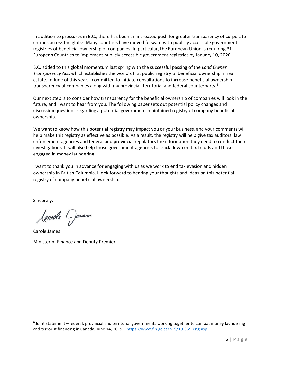In addition to pressures in B.C., there has been an increased push for greater transparency of corporate entities across the globe. Many countries have moved forward with publicly accessible government registries of beneficial ownership of companies. In particular, the European Union is requiring 31 European Countries to implement publicly accessible government registries by January 10, 2020.

B.C. added to this global momentum last spring with the successful passing of the *Land Owner Transparency Act*, which establishes the world's first public registry of beneficial ownership in real estate. In June of this year, I committed to initiate consultations to increase beneficial ownership transparency of companies along with my provincial, territorial and federal counterparts.<sup>[6](#page-3-0)</sup>

Our next step is to consider how transparency for the beneficial ownership of companies will look in the future, and I want to hear from you. The following paper sets out potential policy changes and discussion questions regarding a potential government-maintained registry of company beneficial ownership.

We want to know how this potential registry may impact you or your business, and your comments will help make this registry as effective as possible. As a result, the registry will help give tax auditors, law enforcement agencies and federal and provincial regulators the information they need to conduct their investigations. It will also help those government agencies to crack down on tax frauds and those engaged in money laundering.

I want to thank you in advance for engaging with us as we work to end tax evasion and hidden ownership in British Columbia. I look forward to hearing your thoughts and ideas on this potential registry of company beneficial ownership.

Sincerely,

Ceanale Dames

Carole James Minister of Finance and Deputy Premier

<span id="page-3-0"></span> $6$  Joint Statement – federal, provincial and territorial governments working together to combat money laundering and terrorist financing in Canada, June 14, 2019 – [https://www.fin.gc.ca/n19/19-065-eng.asp.](https://www.fin.gc.ca/n19/19-065-eng.asp)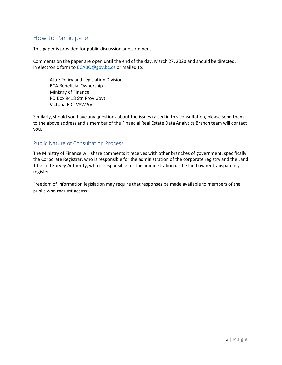### <span id="page-4-0"></span>How to Participate

This paper is provided for public discussion and comment.

Comments on the paper are open until the end of the day, March 27, 2020 and should be directed, in electronic form to B[CABO@gov.bc.ca or](mailto:BCABO@gov.bc.ca?subject=BCA%20Beneficial%20Ownership%20Consultation) mailed to:

Attn: Policy and Legislation Division BCA Beneficial Ownership Ministry of Finance PO Box 9418 Stn Prov Govt Victoria B.C. V8W 9V1

Similarly, should you have any questions about the issues raised in this consultation, please send them to the above address and a member of the Financial Real Estate Data Analytics Branch team will contact you.

#### <span id="page-4-1"></span>Public Nature of Consultation Process

The Ministry of Finance will share comments it receives with other branches of government, specifically the Corporate Registrar, who is responsible for the administration of the corporate registry and the Land Title and Survey Authority, who is responsible for the administration of the land owner transparency register.

Freedom of information legislation may require that responses be made available to members of the public who request access.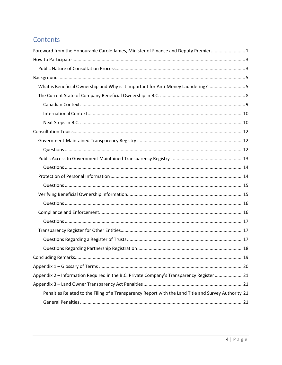## Contents

| Foreword from the Honourable Carole James, Minister of Finance and Deputy Premier 1                  |
|------------------------------------------------------------------------------------------------------|
|                                                                                                      |
|                                                                                                      |
|                                                                                                      |
| What is Beneficial Ownership and Why is it Important for Anti-Money Laundering? 5                    |
|                                                                                                      |
|                                                                                                      |
|                                                                                                      |
|                                                                                                      |
|                                                                                                      |
|                                                                                                      |
|                                                                                                      |
|                                                                                                      |
|                                                                                                      |
|                                                                                                      |
|                                                                                                      |
|                                                                                                      |
|                                                                                                      |
|                                                                                                      |
|                                                                                                      |
|                                                                                                      |
|                                                                                                      |
|                                                                                                      |
|                                                                                                      |
|                                                                                                      |
| Appendix 2 - Information Required in the B.C. Private Company's Transparency Register  21            |
|                                                                                                      |
| Penalties Related to the Filing of a Transparency Report with the Land Title and Survey Authority 21 |
|                                                                                                      |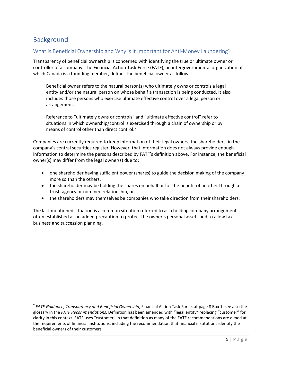## <span id="page-6-0"></span>Background

#### <span id="page-6-1"></span>What is Beneficial Ownership and Why is it Important for Anti-Money Laundering?

Transparency of beneficial ownership is concerned with identifying the true or ultimate owner or controller of a company. The Financial Action Task Force (FATF), an intergovernmental organization of which Canada is a founding member, defines the beneficial owner as follows:

Beneficial owner refers to the natural person(s) who ultimately owns or controls a legal entity and/or the natural person on whose behalf a transaction is being conducted. It also includes those persons who exercise ultimate effective control over a legal person or arrangement.

Reference to "ultimately owns or controls" and "ultimate effective control" refer to situations in which ownership/control is exercised through a chain of ownership or by means of control other than direct control.<sup>[7](#page-6-2)</sup>

Companies are currently required to keep information of their legal owners, the shareholders, in the company's central securities register. However, that information does not always provide enough information to determine the persons described by FATF's definition above. For instance, the beneficial owner(s) may differ from the legal owner(s) due to:

- one shareholder having sufficient power (shares) to guide the decision making of the company more so than the others,
- the shareholder may be holding the shares on behalf or for the benefit of another through a trust, agency or nominee relationship, or
- the shareholders may themselves be companies who take direction from their shareholders.

The last-mentioned situation is a common situation referred to as a holding company arrangement often established as an added precaution to protect the owner's personal assets and to allow tax, business and succession planning.

<span id="page-6-2"></span><sup>7</sup> *FATF Guidance, Transparency and Beneficial Ownership*, Financial Action Task Force, at page 8 Box 1; see also the glossary in the *FATF Recommendations*. Definition has been amended with "legal entity" replacing "customer" for clarity in this context. FATF uses "customer" in that definition as many of the FATF recommendations are aimed at the requirements of financial institutions, including the recommendation that financial institutions identify the beneficial owners of their customers.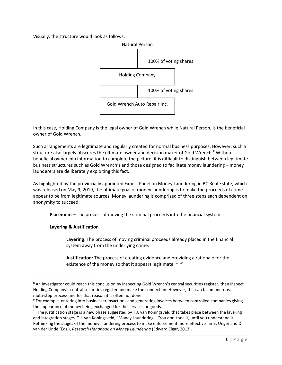Visually, the structure would look as follows:



In this case, Holding Company is the legal owner of Gold Wrench while Natural Person, is the beneficial owner of Gold Wrench.

Such arrangements are legitimate and regularly created for normal business purposes. However, such a structure also largely obscures the ultimate owner and decision maker of Gold Wrench.<sup>[8](#page-7-0)</sup> Without beneficial ownership information to complete the picture, it is difficult to distinguish between legitimate business structures such as Gold Wrench's and those designed to facilitate money laundering – money launderers are deliberately exploiting this fact.

As highlighted by the provincially appointed Expert Panel on Money Laundering in BC Real Estate, which was released on May 9, 2019, the ultimate goal of money laundering is to make the proceeds of crime appear to be from legitimate sources. Money laundering is comprised of three steps each dependent on anonymity to succeed:

**Placement** – The process of moving the criminal proceeds into the financial system.

**Layering & Justification** –

**Layering**: The process of moving criminal proceeds already placed in the financial system away from the underlying crime.

**Justification**: The process of creating evidence and providing a rationale for the existence of the money so that it appears legitimate.  $9, 10$  $9, 10$ 

<span id="page-7-0"></span><sup>&</sup>lt;sup>8</sup> An investigator could reach this conclusion by inspecting Gold Wrench's central securities register, then inspect Holding Company's central securities register and make the connection. However, this can be an onerous,

<span id="page-7-1"></span>multi-step process and for that reason it is often not done.<br><sup>9</sup> For example, entering into business transactions and generating invoices between controlled companies giving the appearance of money being exchanged for the services or goods.

<span id="page-7-2"></span> $10$  The justification stage is a new phase suggested by T.J. van Koningsveld that takes place between the layering and integration stages. T.J. van Koningsveld, "Money Laundering – 'You don't see it, until you understand it': Rethinking the stages of the money laundering process to make enforcement more effective" in B. Unger and D. van der Linde (Eds.), *Research Handbook on Money Laundering* (Edward Elgar, 2013).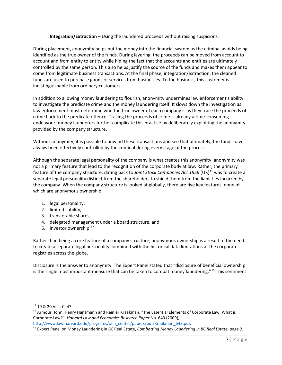**Integration/Extraction** – Using the laundered proceeds without raising suspicions.

During placement, anonymity helps put the money into the financial system as the criminal avoids being identified as the true owner of the funds. During layering, the proceeds can be moved from account to account and from entity to entity while hiding the fact that the accounts and entities are ultimately controlled by the same person. This also helps justify the source of the funds and makes them appear to come from legitimate business transactions. At the final phase, integration/extraction, the cleaned funds are used to purchase goods or services from businesses. To the business, this customer is indistinguishable from ordinary customers.

In addition to allowing money laundering to flourish, anonymity undermines law enforcement's ability to investigate the predicate crime and the money laundering itself. It slows down the investigation as law enforcement must determine who the true owner of each company is as they trace the proceeds of crime back to the predicate offence. Tracing the proceeds of crime is already a time-consuming endeavour; money launderers further complicate this practice by deliberately exploiting the anonymity provided by the company structure.

Without anonymity, it is possible to unwind these transactions and see that ultimately, the funds have always been effectively controlled by the criminal during every stage of the process.

Although the separate legal personality of the company is what creates this anonymity, anonymity was not a primary feature that lead to the recognition of the corporate body at law. Rather, the primary feature of the company structure, dating back to *Joint Stock Companies Act 1856* (UK[\)11](#page-8-0) was to create a separate legal personality distinct from the shareholders to shield them from the liabilities incurred by the company. When the company structure is looked at globally, there are five key features, none of which are anonymous ownership:

- 1. legal personality,
- 2. limited liability,
- 3. transferable shares,
- 4. delegated management under a board structure, and
- 5. investor ownership.<sup>[12](#page-8-1)</sup>

Rather than being a core feature of a company structure, anonymous ownership is a result of the need to create a separate legal personality combined with the historical data limitations at the corporate registries across the globe.

Disclosure is the answer to anonymity. The Expert Panel stated that "disclosure of beneficial ownership is the single most important measure that can be taken to combat money laundering."<sup>[13](#page-8-2)</sup> This sentiment

<span id="page-8-0"></span><sup>11</sup> 19 & 20 Vict. C. 47.

<span id="page-8-1"></span><sup>&</sup>lt;sup>12</sup> Armour, John, Henry Hansmann and Reinier Kraakman, "The Essential Elements of Corporate Law: What is Corporate Law?", *Harvard Law and Economics Research Paper* No. 643 (2009),

<span id="page-8-2"></span>[http://www.law.harvard.edu/programs/olin\\_center/papers/pdf/Kraakman\\_643.pdf.](http://www.law.harvard.edu/programs/olin_center/papers/pdf/Kraakman_643.pdf)<br><sup>13</sup> Expert Panel on Money Laundering in BC Real Estate, *Combatting Money Laundering in BC Real Estate*, page 2.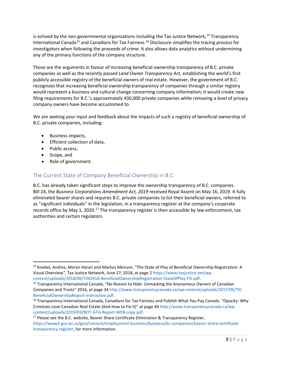is echoed by the non-governmental organizations including the Tax Justice Network, $14$  Transparency International Canada<sup>[15](#page-9-2)</sup> and Canadians for Tax Fairness.<sup>[16](#page-9-3)</sup> Disclosure simplifies the tracing process for investigators when following the proceeds of crime. It also allows data analytics without undermining any of the primary functions of the company structure.

Those are the arguments in favour of increasing beneficial ownership transparency of B.C. private companies as well as the recently passed *Land Owner Transparency Act*, establishing the world's first publicly accessible registry of the beneficial owners of real estate. However, the government of B.C. recognizes that increasing beneficial ownership transparency of companies through a similar registry would represent a business and cultural change concerning company information; it would create new filing requirements for B.C.'s approximately 430,000 private companies while removing a level of privacy company owners have become accustomed to.

We are seeking your input and feedback about the impacts of such a registry of beneficial ownership of B.C. private companies, including:

- Business impacts,
- Efficient collection of data,
- Public access,
- Scope, and
- <span id="page-9-0"></span>• Role of government.

#### The Current State of Company Beneficial Ownership in B.C.

B.C. has already taken significant steps to improve the ownership transparency of B.C. companies. Bill 24, the *Business Corporations Amendment Act, 2019* received Royal Assent on May 16, 2019. It fully eliminated bearer shares and requires B.C. private companies to list their beneficial owners, referred to as "significant individuals" in the legislation, in a transparency register at the company's corporate records office by May 1, 2020.<sup>[17](#page-9-4)</sup> The transparency register is then accessible by law enforcement, tax authorities and certain regulators.

<span id="page-9-4"></span>[https://www2.gov.bc.ca/gov/content/employment-business/business/bc-companies/bearer-share-certificate](https://www2.gov.bc.ca/gov/content/employment-business/business/bc-companies/bearer-share-certificate-transparency-register)[transparency-register,](https://www2.gov.bc.ca/gov/content/employment-business/business/bc-companies/bearer-share-certificate-transparency-register) for more information.

<span id="page-9-1"></span><sup>&</sup>lt;sup>14</sup> Knobel, Andres, Moran Harari and Markus Meinzer, "The State of Play of Beneficial Ownership Registration: A Visual Overview*"*, Tax Justice Network, June 27, 2018, at page 2 [https://www.taxjustice.net/wp-](https://www.taxjustice.net/wp-content/uploads/2018/06/TJN2018-BeneficialOwnershipRegistration-StateOfPlay-FSI.pdf)

<span id="page-9-2"></span>[content/uploads/2018/06/TJN2018-BeneficialOwnershipRegistration-StateOfPlay-FSI.pdf.](https://www.taxjustice.net/wp-content/uploads/2018/06/TJN2018-BeneficialOwnershipRegistration-StateOfPlay-FSI.pdf)<br><sup>15</sup> Transparency International Canada, "No Reason to Hide: Unmasking the Anonymous Owners of Canadian Companies and Trusts" 2016, at page 34 [http://www.transparencycanada.ca/wp-content/uploads/2017/05/TIC-](http://www.transparencycanada.ca/wp-content/uploads/2017/05/TIC-BeneficialOwnershipReport-Interactive.pdf)BeneficialOwnershipReport-Interactive.pdf.<br><sup>16</sup> Transparency International Canada, Canadians for Tax Fairness and Publish What You Pay Canada. "Opacity: Why

<span id="page-9-3"></span>Criminals Love Canadian Real Estate (And How to Fix It)" at page 4[0 http://www.transparencycanada.ca/wp](http://www.transparencycanada.ca/wp-content/uploads/2019/03/BOT-GTA-Report-WEB-copy.pdf)[content/uploads/2019/03/BOT-GTA-Report-WEB-copy.pdf.](http://www.transparencycanada.ca/wp-content/uploads/2019/03/BOT-GTA-Report-WEB-copy.pdf)<br><sup>17</sup> Please see the B.C. website, Bearer Share Certificate Elimination & Transparency Register,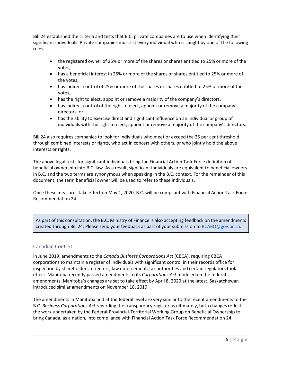Bill 24 established the criteria and tests that B.C. private companies are to use when identifying their significant individuals. Private companies must list every individual who is caught by one of the following rules:

- the registered owner of 25% or more of the shares or shares entitled to 25% or more of the votes,
- has a beneficial interest in 25% or more of the shares or shares entitled to 25% or more of the votes,
- has indirect control of 25% or more of the shares or shares entitled to 25% or more of the votes,
- has the right to elect, appoint or remove a majority of the company's directors,
- has indirect control of the right to elect, appoint or remove a majority of the company's directors, or
- has the ability to exercise direct and significant influence on an individual or group of individuals with the right to elect, appoint or remove a majority of the company's directors.

Bill 24 also requires companies to look for individuals who meet or exceed the 25 per cent threshold through combined interests or rights, who act in concert with others, or who jointly hold the above interests or rights.

The above legal tests for significant individuals bring the Financial Action Task Force definition of beneficial ownership into B.C. law. As a result, significant individuals are equivalent to beneficial owners in B.C. and the two terms are synonymous when speaking in the B.C. context. For the remainder of this document, the term beneficial owner will be used to refer to these individuals.

Once these measures take effect on May 1, 2020, B.C. will be compliant with Financial Action Task Force Recommendation 24.

As part of this consultation, the B.C. Ministry of Finance is also accepting feedback on the amendments created through Bill 24. Please send your feedback as part of your submission to [BCABO@gov.bc.ca.](mailto:BCABO@gov.bc.ca)

#### <span id="page-10-0"></span>Canadian Context

In June 2019, amendments to the *Canada Business Corporations Act* (CBCA), requiring CBCA corporations to maintain a register of individuals with significant control in their records office for inspection by shareholders, directors, law enforcement, tax authorities and certain regulators took effect. Manitoba recently passed amendments to its *Corporations Act* modeled on the federal amendments. Manitoba's changes are set to take effect by April 8, 2020 at the latest. Saskatchewan introduced similar amendments on November 18, 2019.

The amendments in Manitoba and at the federal level are very similar to the recent amendments to the B.C. *Business Corporations Act* regarding the transparency register as ultimately, both changes reflect the work undertaken by the Federal-Provincial-Territorial Working Group on Beneficial Ownership to bring Canada, as a nation, into compliance with Financial Action Task Force Recommendation 24.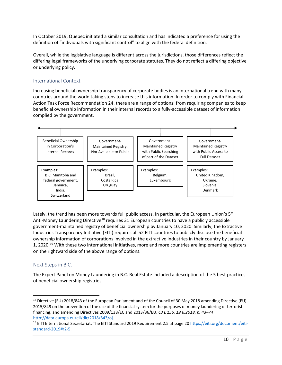In October 2019, Quebec initiated a similar consultation and has indicated a preference for using the definition of "individuals with significant control" to align with the federal definition.

Overall, while the legislative language is different across the jurisdictions, those differences reflect the differing legal frameworks of the underlying corporate statutes. They do not reflect a differing objective or underlying policy.

#### <span id="page-11-0"></span>International Context

Increasing beneficial ownership transparency of corporate bodies is an international trend with many countries around the world taking steps to increase this information. In order to comply with Financial Action Task Force Recommendation 24, there are a range of options; from requiring companies to keep beneficial ownership information in their internal records to a fully-accessible dataset of information complied by the government.



Lately, the trend has been more towards full public access. In particular, the European Union's  $5<sup>th</sup>$ Anti-Money Laundering Directive<sup>[18](#page-11-2)</sup> requires 31 European countries to have a publicly accessible government-maintained registry of beneficial ownership by January 10, 2020. Similarly, the Extractive Industries Transparency Initiative (EITI) requires all 52 EITI countries to publicly disclose the beneficial ownership information of corporations involved in the extractive industries in their country by January 1, 2020.<sup>19</sup> With these two international initiatives, more and more countries are implementing registers on the rightward side of the above range of options.

#### <span id="page-11-1"></span>Next Steps in B.C.

The Expert Panel on Money Laundering in B.C. Real Estate included a description of the 5 best practices of beneficial ownership registries.

<span id="page-11-2"></span><sup>&</sup>lt;sup>18</sup> Directive (EU) 2018/843 of the European Parliament and of the Council of 30 May 2018 amending Directive (EU) 2015/849 on the prevention of the use of the financial system for the purposes of money laundering or terrorist financing, and amending Directives 2009/138/EC and 2013/36/EU, *OJ L 156, 19.6.2018, p. 43–74* [http://data.europa.eu/eli/dir/2018/843/oj.](http://data.europa.eu/eli/dir/2018/843/oj)<br><sup>19</sup> EITI International Secretariat, The EITI Standard 2019 Requirement 2.5 at page 20 [https://eiti.org/document/eiti-](https://eiti.org/document/eiti-standard-2019#r2-5)

<span id="page-11-3"></span>[standard-2019#r2-5.](https://eiti.org/document/eiti-standard-2019#r2-5)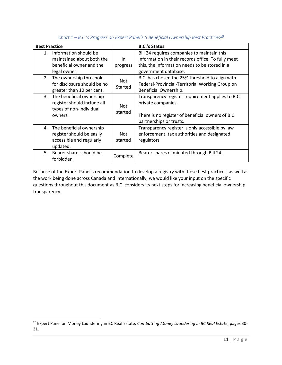| <b>Best Practice</b> |                                                                                                |                       | <b>B.C.'s Status</b>                                                                                                                                                       |
|----------------------|------------------------------------------------------------------------------------------------|-----------------------|----------------------------------------------------------------------------------------------------------------------------------------------------------------------------|
| 1.                   | Information should be<br>maintained about both the<br>beneficial owner and the<br>legal owner. | In.<br>progress       | Bill 24 requires companies to maintain this<br>information in their records office. To fully meet<br>this, the information needs to be stored in a<br>government database. |
| 2.                   | The ownership threshold<br>for disclosure should be no<br>greater than 10 per cent.            | <b>Not</b><br>Started | B.C. has chosen the 25% threshold to align with<br>Federal-Provincial-Territorial Working Group on<br>Beneficial Ownership.                                                |
| 3.                   | The beneficial ownership<br>register should include all<br>types of non-individual<br>owners.  | Not.<br>started       | Transparency register requirement applies to B.C.<br>private companies.<br>There is no register of beneficial owners of B.C.<br>partnerships or trusts.                    |
| 4.                   | The beneficial ownership<br>register should be easily<br>accessible and regularly<br>updated.  | <b>Not</b><br>started | Transparency register is only accessible by law<br>enforcement, tax authorities and designated<br>regulators                                                               |
| 5.                   | Bearer shares should be<br>forbidden                                                           | Complete              | Bearer shares eliminated through Bill 24.                                                                                                                                  |

#### *Chart 1 – B.C.'s Progress on Expert Panel's 5 Beneficial Ownership Best Practices*[20](#page-12-0)

Because of the Expert Panel's recommendation to develop a registry with these best practices, as well as the work being done across Canada and internationally, we would like your input on the specific questions throughout this document as B.C. considers its next steps for increasing beneficial ownership transparency.

<span id="page-12-0"></span> <sup>20</sup> Expert Panel on Money Laundering in BC Real Estate, *Combatting Money Laundering in BC Real Estate*, pages 30- 31.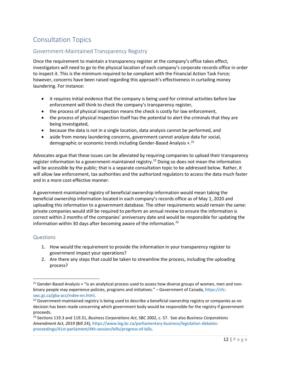# <span id="page-13-0"></span>Consultation Topics

#### <span id="page-13-1"></span>Government-Maintained Transparency Registry

Once the requirement to maintain a transparency register at the company's office takes effect, investigators will need to go to the physical location of each company's corporate records office in order to inspect it. This is the minimum required to be compliant with the Financial Action Task Force; however, concerns have been raised regarding this approach's effectiveness in curtailing money laundering. For instance:

- it requires initial evidence that the company is being used for criminal activities before law enforcement will think to check the company's transparency register,
- the process of physical inspection means the check is costly for law enforcement,
- the process of physical inspection itself has the potential to alert the criminals that they are being investigated,
- because the data is not in a single location, data analysis cannot be performed, and
- aside from money laundering concerns, government cannot analyze data for social, demographic or economic trends including Gender-Based Analysis  $+$ .<sup>[21](#page-13-3)</sup>

Advocates argue that these issues can be alleviated by requiring companies to upload their transparency register information to a government-maintained registry.<sup>[22](#page-13-4)</sup> Doing so does not mean the information will be accessible by the public; that is a separate consultation topic to be addressed below. Rather, it will allow law enforcement, tax authorities and the authorized regulators to access the data much faster and in a more cost-effective manner.

A government-maintained registry of beneficial ownership information would mean taking the beneficial ownership information located in each company's records office as of May 1, 2020 and uploading this information to a government database. The other requirements would remain the same: private companies would still be required to perform an annual review to ensure the information is correct within 2 months of the companies' anniversary date and would be responsible for updating the information within 30 days after becoming aware of the information.<sup>[23](#page-13-5)</sup>

#### <span id="page-13-2"></span>Questions

- 1. How would the requirement to provide the information in your transparency register to government impact your operations?
- 2. Are there any steps that could be taken to streamline the process, including the uploading process?

<span id="page-13-3"></span> $21$  Gender-Based Analysis + "is an analytical process used to assess how diverse groups of women, men and nonbinary people may experience policies, programs and initiatives." – Government of Canada[, https://cfc](https://cfc-swc.gc.ca/gba-acs/index-en.html)[swc.gc.ca/gba-acs/index-en.html.](https://cfc-swc.gc.ca/gba-acs/index-en.html)

<span id="page-13-4"></span> $22$  Government-maintained registry is being used to describe a beneficial ownership registry or companies as no decision has been made concerning which government body would be responsible for the registry if government proceeds.

<span id="page-13-5"></span><sup>23</sup> Sections 119.3 and 119.31, *Business Corporations Act*, SBC 2002, c. 57. See also *Business Corporations Amendment Act, 2019* (Bill 24)[, https://www.leg.bc.ca/parliamentary-business/legislation-debates](https://www.leg.bc.ca/parliamentary-business/legislation-debates-proceedings/41st-parliament/4th-session/bills/progress-of-bills)[proceedings/41st-parliament/4th-session/bills/progress-of-bills.](https://www.leg.bc.ca/parliamentary-business/legislation-debates-proceedings/41st-parliament/4th-session/bills/progress-of-bills)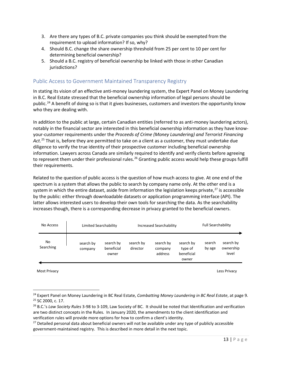- 3. Are there any types of B.C. private companies you think should be exempted from the requirement to upload information? If so, why?
- 4. Should B.C. change the share ownership threshold from 25 per cent to 10 per cent for determining beneficial ownership?
- 5. Should a B.C. registry of beneficial ownership be linked with those in other Canadian jurisdictions?

#### <span id="page-14-0"></span>Public Access to Government Maintained Transparency Registry

In stating its vision of an effective anti-money laundering system, the Expert Panel on Money Laundering in B.C. Real Estate stressed that the beneficial ownership information of legal persons should be public.<sup>[24](#page-14-1)</sup> A benefit of doing so is that it gives businesses, customers and investors the opportunity know who they are dealing with.

In addition to the public at large, certain Canadian entities (referred to as anti-money laundering actors), notably in the financial sector are interested in this beneficial ownership information as they have knowyour-customer requirements under the *Proceeds of Crime (Money Laundering) and Terrorist Financing Act*. [25](#page-14-2) That is, before they are permitted to take on a client as a customer, they must undertake due diligence to verify the true identity of their prospective customer including beneficial ownership information. Lawyers across Canada are similarly required to identify and verify clients before agreeing to represent them under their professional rules.<sup>[26](#page-14-3)</sup> Granting public access would help these groups fulfill their requirements.

Related to the question of public access is the question of how much access to give. At one end of the spectrum is a system that allows the public to search by company name only. At the other end is a system in which the entire dataset, aside from information the legislation keeps private, $27$  is accessible by the public: either through downloadable datasets or application programming interface (API). The latter allows interested users to develop their own tools for searching the data. As the searchability increases though, there is a corresponding decrease in privacy granted to the beneficial owners.

| No Access       | Limited Searchability |                                  | Increased Searchability |                                 |                                             | <b>Full Searchability</b> |                                 |
|-----------------|-----------------------|----------------------------------|-------------------------|---------------------------------|---------------------------------------------|---------------------------|---------------------------------|
| No<br>Searching | search by<br>company  | search by<br>beneficial<br>owner | search by<br>director   | search by<br>company<br>address | search by<br>type of<br>beneficial<br>owner | search<br>by age          | search by<br>ownership<br>level |

Most Privacy Less Privacy

<span id="page-14-2"></span><span id="page-14-1"></span><sup>&</sup>lt;sup>24</sup> Expert Panel on Money Laundering in BC Real Estate, *Combatting Money Laundering in BC Real Estate*, at page 9.<br><sup>25</sup> SC 2000, c. 17.

<span id="page-14-3"></span><sup>26</sup> B.C.'s *Law Society Rules* 3-98 to 3-109, Law Society of BC. It should be noted that Identification and verification are two distinct concepts in the Rules. In January 2020, the amendments to the client identification and verification rules will provide more options for how to confirm a client's identity.

<span id="page-14-4"></span><sup>&</sup>lt;sup>27</sup> Detailed personal data about beneficial owners will not be available under any type of publicly accessible government-maintained registry. This is described in more detail in the next topic.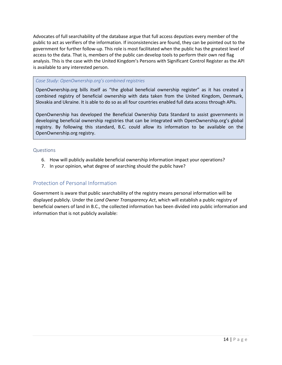Advocates of full searchability of the database argue that full access deputizes every member of the public to act as verifiers of the information. If inconsistencies are found, they can be pointed out to the government for further follow-up. This role is most facilitated when the public has the greatest level of access to the data. That is, members of the public can develop tools to perform their own red flag analysis. This is the case with the United Kingdom's Persons with Significant Control Register as the API is available to any interested person.

#### *Case Study: OpenOwnership.org's combined registries*

OpenOwnership.org bills itself as "the global beneficial ownership register" as it has created a combined registry of beneficial ownership with data taken from the United Kingdom, Denmark, Slovakia and Ukraine. It is able to do so as all four countries enabled full data access through APIs.

OpenOwnership has developed the Beneficial Ownership Data Standard to assist governments in developing beneficial ownership registries that can be integrated with OpenOwnership.org's global registry. By following this standard, B.C. could allow its information to be available on the OpenOwnership.org registry.

#### <span id="page-15-0"></span>Questions

- 6. How will publicly available beneficial ownership information impact your operations?
- 7. In your opinion, what degree of searching should the public have?

#### <span id="page-15-1"></span>Protection of Personal Information

Government is aware that public searchability of the registry means personal information will be displayed publicly. Under the *Land Owner Transparency Act*, which will establish a public registry of beneficial owners of land in B.C., the collected information has been divided into public information and information that is not publicly available: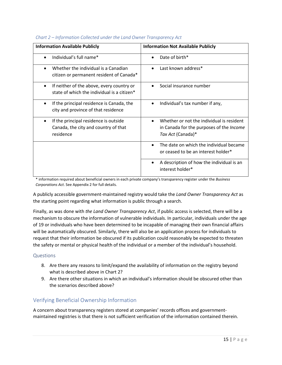| <b>Information Available Publicly</b>                                                                   | <b>Information Not Available Publicly</b>                                                                                      |  |  |  |
|---------------------------------------------------------------------------------------------------------|--------------------------------------------------------------------------------------------------------------------------------|--|--|--|
| Individual's full name*                                                                                 | Date of birth*<br>$\bullet$                                                                                                    |  |  |  |
| Whether the individual is a Canadian<br>citizen or permanent resident of Canada*                        | Last known address*                                                                                                            |  |  |  |
| If neither of the above, every country or<br>state of which the individual is a citizen*                | Social insurance number                                                                                                        |  |  |  |
| If the principal residence is Canada, the<br>$\bullet$<br>city and province of that residence           | Individual's tax number if any,<br>$\bullet$                                                                                   |  |  |  |
| If the principal residence is outside<br>$\bullet$<br>Canada, the city and country of that<br>residence | Whether or not the individual is resident<br>$\bullet$<br>in Canada for the purposes of the <i>Income</i><br>Tax Act (Canada)* |  |  |  |
|                                                                                                         | The date on which the individual became<br>$\bullet$<br>or ceased to be an interest holder*                                    |  |  |  |
|                                                                                                         | A description of how the individual is an<br>٠<br>interest holder*                                                             |  |  |  |

#### *Chart 2 – Information Collected under the Land Owner Transparency Act*

\* information required about beneficial owners in each private company's transparency register under the *Business Corporations Act*. See Appendix 2 for full details.

A publicly accessible government-maintained registry would take the *Land Owner Transparency Act* as the starting point regarding what information is public through a search.

Finally, as was done with *the Land Owner Transparency Act*, if public access is selected, there will be a mechanism to obscure the information of vulnerable individuals. In particular, individuals under the age of 19 or individuals who have been determined to be incapable of managing their own financial affairs will be automatically obscured. Similarly, there will also be an application process for individuals to request that their information be obscured if its publication could reasonably be expected to threaten the safety or mental or physical health of the individual or a member of the individual's household.

#### <span id="page-16-0"></span>Questions

- 8. Are there any reasons to limit/expand the availability of information on the registry beyond what is described above in Chart 2?
- 9. Are there other situations in which an individual's information should be obscured other than the scenarios described above?

#### <span id="page-16-1"></span>Verifying Beneficial Ownership Information

A concern about transparency registers stored at companies' records offices and governmentmaintained registries is that there is not sufficient verification of the information contained therein.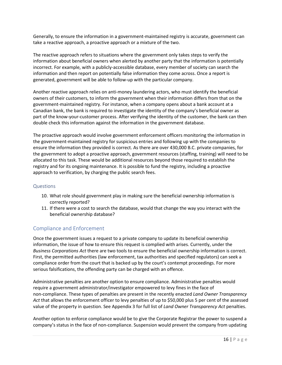Generally, to ensure the information in a government-maintained registry is accurate, government can take a reactive approach, a proactive approach or a mixture of the two.

The reactive approach refers to situations where the government only takes steps to verify the information about beneficial owners when alerted by another party that the information is potentially incorrect. For example, with a publicly-accessible database, every member of society can search the information and then report on potentially false information they come across. Once a report is generated, government will be able to follow-up with the particular company.

Another reactive approach relies on anti-money laundering actors, who must identify the beneficial owners of their customers, to inform the government when their information differs from that on the government-maintained registry. For instance, when a company opens about a bank account at a Canadian bank, the bank is required to investigate the identity of the company's beneficial owner as part of the know-your-customer process. After verifying the identity of the customer, the bank can then double check this information against the information in the government database.

The proactive approach would involve government enforcement officers monitoring the information in the government-maintained registry for suspicious entries and following up with the companies to ensure the information they provided is correct. As there are over 430,000 B.C. private companies, for the government to adopt a proactive approach, government resources (staffing, training) will need to be allocated to this task. These would be additional resources beyond those required to establish the registry and for its ongoing maintenance. It is possible to fund the registry, including a proactive approach to verification, by charging the public search fees.

#### <span id="page-17-0"></span>Questions

- 10. What role should government play in making sure the beneficial ownership information is correctly reported?
- 11. If there were a cost to search the database, would that change the way you interact with the beneficial ownership database?

#### <span id="page-17-1"></span>Compliance and Enforcement

Once the government issues a request to a private company to update its beneficial ownership information, the issue of how to ensure this request is complied with arises. Currently, under the *Business Corporations Act* there are two tools to ensure the beneficial ownership information is correct. First, the permitted authorities (law enforcement, tax authorities and specified regulators) can seek a compliance order from the court that is backed up by the court's contempt proceedings. For more serious falsifications, the offending party can be charged with an offence.

Administrative penalties are another option to ensure compliance. Administrative penalties would require a government administrator/investigator empowered to levy fines in the face of non-compliance. These types of penalties are present in the recently enacted *Land Owner Transparency Act* that allows the enforcement officer to levy penalties of up to \$50,000 plus 5 per cent of the assessed value of the property in question. See Appendix 3 for full list of *Land Owner Transparency Act* penalties.

Another option to enforce compliance would be to give the Corporate Registrar the power to suspend a company's status in the face of non-compliance. Suspension would prevent the company from updating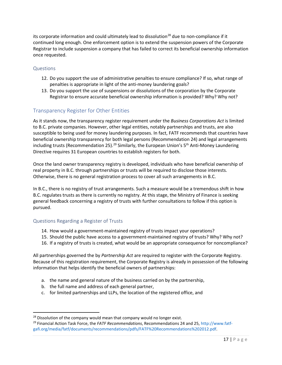its corporate information and could ultimately lead to dissolution<sup>[28](#page-18-3)</sup> due to non-compliance if it continued long enough. One enforcement option is to extend the suspension powers of the Corporate Registrar to include suspension a company that has failed to correct its beneficial ownership information once requested.

#### <span id="page-18-0"></span>Questions

- 12. Do you support the use of administrative penalties to ensure compliance? If so, what range of penalties is appropriate in light of the anti-money laundering goals?
- 13. Do you support the use of suspensions or dissolutions of the corporation by the Corporate Registrar to ensure accurate beneficial ownership information is provided? Why? Why not?

#### <span id="page-18-1"></span>Transparency Register for Other Entities

As it stands now, the transparency register requirement under the *Business Corporations Act* is limited to B.C. private companies. However, other legal entities, notably partnerships and trusts, are also susceptible to being used for money laundering purposes. In fact, FATF recommends that countries have beneficial ownership transparency for both legal persons (Recommendation 24) and legal arrangements including trusts (Recommendation 25).<sup>[29](#page-18-4)</sup> Similarly, the European Union's 5<sup>th</sup> Anti-Money Laundering Directive requires 31 European countries to establish registers for both.

Once the land owner transparency registry is developed, individuals who have beneficial ownership of real property in B.C. through partnerships or trusts will be required to disclose those interests. Otherwise, there is no general registration process to cover all such arrangements in B.C.

In B.C., there is no registry of trust arrangements. Such a measure would be a tremendous shift in how B.C. regulates trusts as there is currently no registry. At this stage, the Ministry of Finance is seeking general feedback concerning a registry of trusts with further consultations to follow if this option is pursued.

#### <span id="page-18-2"></span>Questions Regarding a Register of Trusts

- 14. How would a government-maintained registry of trusts impact your operations?
- 15. Should the public have access to a government-maintained registry of trusts? Why? Why not?
- 16. If a registry of trusts is created, what would be an appropriate consequence for noncompliance?

All partnerships governed the by *Partnership Act* are required to register with the Corporate Registry. Because of this registration requirement, the Corporate Registry is already in possession of the following information that helps identify the beneficial owners of partnerships:

- a. the name and general nature of the business carried on by the partnership,
- b. the full name and address of each general partner,
- c. for limited partnerships and LLPs, the location of the registered office, and

<span id="page-18-4"></span><span id="page-18-3"></span><sup>&</sup>lt;sup>28</sup> Dissolution of the company would mean that company would no longer exist.<br><sup>29</sup> Financial Action Task Force, the *FATF Recommendations*, Recommendations 24 and 25, [http://www.fatf](http://www.fatf-gafi.org/media/fatf/documents/recommendations/pdfs/FATF%20Recommendations%202012.pdf)[gafi.org/media/fatf/documents/recommendations/pdfs/FATF%20Recommendations%202012.pdf.](http://www.fatf-gafi.org/media/fatf/documents/recommendations/pdfs/FATF%20Recommendations%202012.pdf)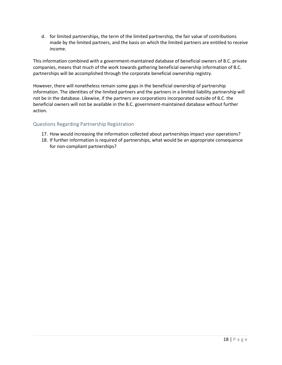d. for limited partnerships, the term of the limited partnership, the fair value of contributions made by the limited partners, and the basis on which the limited partners are entitled to receive income.

This information combined with a government-maintained database of beneficial owners of B.C. private companies, means that much of the work towards gathering beneficial ownership information of B.C. partnerships will be accomplished through the corporate beneficial ownership registry.

However, there will nonetheless remain some gaps in the beneficial ownership of partnership information. The identities of the limited partners and the partners in a limited liability partnership will not be in the database. Likewise, if the partners are corporations incorporated outside of B.C. the beneficial owners will not be available in the B.C. government-maintained database without further action.

#### <span id="page-19-0"></span>Questions Regarding Partnership Registration

- 17. How would increasing the information collected about partnerships impact your operations?
- 18. If further information is required of partnerships, what would be an appropriate consequence for non-compliant partnerships?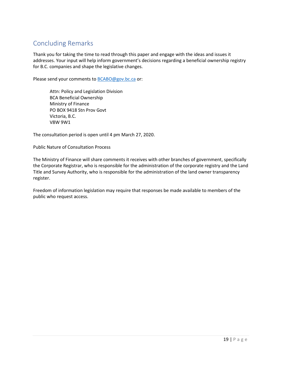## <span id="page-20-0"></span>Concluding Remarks

Thank you for taking the time to read through this paper and engage with the ideas and issues it addresses. Your input will help inform government's decisions regarding a beneficial ownership registry for B.C. companies and shape the legislative changes.

Please send your comments to **BCABO@gov.bc.ca** or:

Attn: Policy and Legislation Division BCA Beneficial Ownership Ministry of Finance PO BOX 9418 Stn Prov Govt Victoria, B.C. V8W 9W1

The consultation period is open until 4 pm March 27, 2020.

Public Nature of Consultation Process

The Ministry of Finance will share comments it receives with other branches of government, specifically the Corporate Registrar, who is responsible for the administration of the corporate registry and the Land Title and Survey Authority, who is responsible for the administration of the land owner transparency register.

Freedom of information legislation may require that responses be made available to members of the public who request access.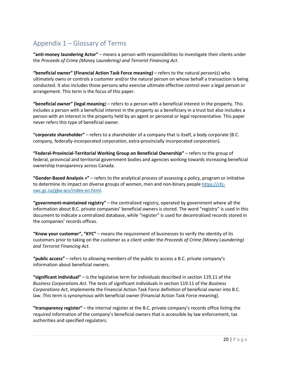# <span id="page-21-0"></span>Appendix 1 – Glossary of Terms

**"anti-money laundering Actor"** – means a person with responsibilities to investigate their clients under the *Proceeds of Crime (Money Laundering) and Terrorist Financing Act*.

**"beneficial owner" (Financial Action Task Force meaning)** – refers to the natural person(s) who ultimately owns or controls a customer and/or the natural person on whose behalf a transaction is being conducted. It also includes those persons who exercise ultimate effective control over a legal person or arrangement. This term is the focus of this paper.

**"beneficial owner" (legal meaning**) – refers to a person with a beneficial interest in the property. This includes a person with a beneficial interest in the property as a beneficiary in a trust but also includes a person with an interest in the property held by an agent or personal or legal representative. This paper never refers this type of beneficial owner.

**"corporate shareholder"** – refers to a shareholder of a company that is itself, a body corporate (B.C. company, federally-incorporated corporation, extra-provincially incorporated corporation).

**"Federal-Provincial-Territorial Working Group on Beneficial Ownership"** – refers to the group of federal, provincial and territorial government bodies and agencies working towards increasing beneficial ownership transparency across Canada.

**"Gender-Based Analysis +"** – refers to the analytical process of assessing a policy, program or initiative to determine its impact on diverse groups of women, men and non-binary peopl[e https://cfc](https://cfc-swc.gc.ca/gba-acs/index-en.html)[swc.gc.ca/gba-acs/index-en.html.](https://cfc-swc.gc.ca/gba-acs/index-en.html)

**"government-maintained registry"** – the centralized registry, operated by government where all the information about B.C. private companies' beneficial owners is stored. The word "registry" is used in this document to indicate a centralized database, while "register" is used for decentralized records stored in the companies' records offices.

**"Know your customer", "KYC"** – means the requirement of businesses to verify the identity of its customers prior to taking on the customer as a client under the *Proceeds of Crime (Money Laundering) and Terrorist Financing Act*.

**"public access"** – refers to allowing members of the public to access a B.C. private company's information about beneficial owners.

**"significant individual"** – is the legislative term for individuals described in section 119.11 of the *Business Corporations Act*. The tests of significant individuals in section 119.11 of the *Business Corporations Act*, implemente the Financial Action Task Force definition of beneficial owner into B.C. law. This term is synonymous with beneficial owner (Financial Action Task Force meaning).

**"transparency register"** – the internal register at the B.C. private company's records office listing the required information of the company's beneficial owners that is accessible by law enforcement, tax authorities and specified regulators.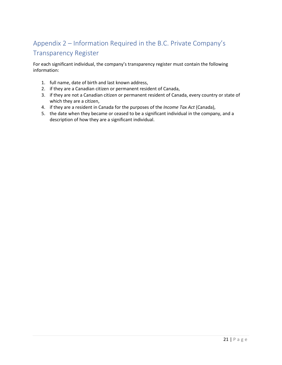# <span id="page-22-0"></span>Appendix 2 – Information Required in the B.C. Private Company's Transparency Register

For each significant individual, the company's transparency register must contain the following information:

- 1. full name, date of birth and last known address,
- 2. if they are a Canadian citizen or permanent resident of Canada,
- 3. if they are not a Canadian citizen or permanent resident of Canada, every country or state of which they are a citizen,
- 4. if they are a resident in Canada for the purposes of the *Income Tax Act* (Canada),
- 5. the date when they became or ceased to be a significant individual in the company, and a description of how they are a significant individual.